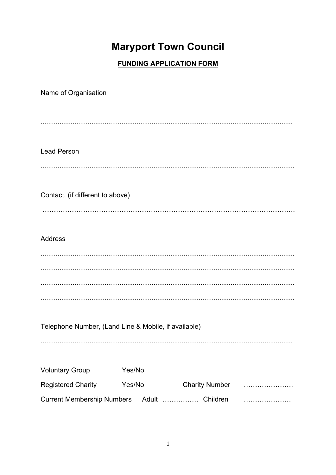# **Maryport Town Council**

# **FUNDING APPLICATION FORM**

| Name of Organisation                                 |        |                       |  |  |
|------------------------------------------------------|--------|-----------------------|--|--|
|                                                      |        |                       |  |  |
|                                                      |        |                       |  |  |
|                                                      |        |                       |  |  |
| <b>Lead Person</b>                                   |        |                       |  |  |
|                                                      |        |                       |  |  |
|                                                      |        |                       |  |  |
| Contact, (if different to above)                     |        |                       |  |  |
|                                                      |        |                       |  |  |
|                                                      |        |                       |  |  |
| <b>Address</b>                                       |        |                       |  |  |
|                                                      |        |                       |  |  |
|                                                      |        |                       |  |  |
|                                                      |        |                       |  |  |
|                                                      |        |                       |  |  |
|                                                      |        |                       |  |  |
| Telephone Number, (Land Line & Mobile, if available) |        |                       |  |  |
|                                                      |        |                       |  |  |
|                                                      |        |                       |  |  |
| <b>Voluntary Group</b>                               | Yes/No |                       |  |  |
| <b>Registered Charity</b>                            | Yes/No | <b>Charity Number</b> |  |  |
| Current Membership Numbers Adult  Children           |        |                       |  |  |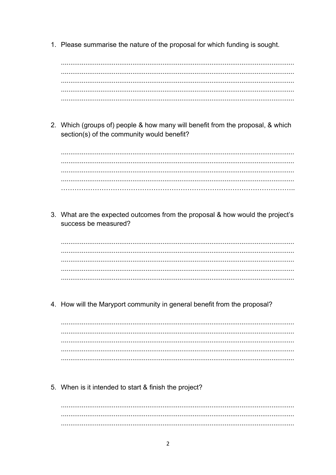1. Please summarise the nature of the proposal for which funding is sought.

2. Which (groups of) people & how many will benefit from the proposal, & which section(s) of the community would benefit?

3. What are the expected outcomes from the proposal & how would the project's success be measured?

4. How will the Maryport community in general benefit from the proposal?

5. When is it intended to start & finish the project?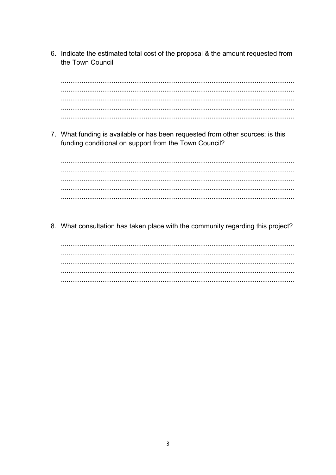6. Indicate the estimated total cost of the proposal & the amount requested from the Town Council

7. What funding is available or has been requested from other sources; is this funding conditional on support from the Town Council?

8. What consultation has taken place with the community regarding this project?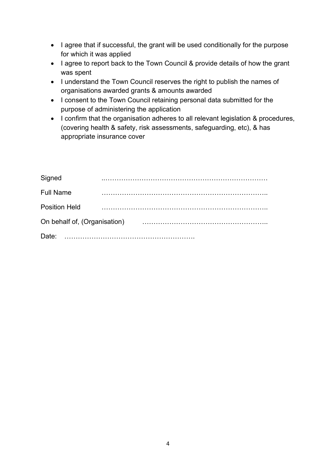- I agree that if successful, the grant will be used conditionally for the purpose for which it was applied
- I agree to report back to the Town Council & provide details of how the grant was spent
- I understand the Town Council reserves the right to publish the names of organisations awarded grants & amounts awarded
- I consent to the Town Council retaining personal data submitted for the purpose of administering the application
- I confirm that the organisation adheres to all relevant legislation & procedures, (covering health & safety, risk assessments, safeguarding, etc), & has appropriate insurance cover

| Signed                       |  |  |
|------------------------------|--|--|
| <b>Full Name</b>             |  |  |
| <b>Position Held</b>         |  |  |
| On behalf of, (Organisation) |  |  |
| Date:                        |  |  |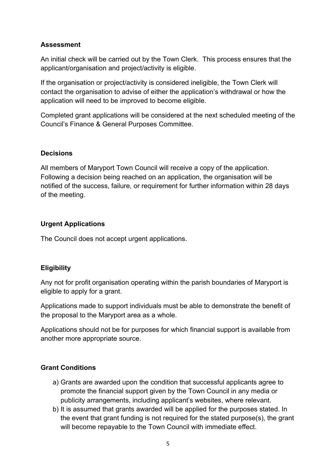#### Assessment

An initial check will be carried out by the Town Clerk. This process ensures that the applicant/organisation and project/activity is eligible.

If the organisation or project/activity is considered ineligible, the Town Clerk will contact the organisation to advise of either the application's withdrawal or how the application will need to be improved to become eligible.

Completed grant applications will be considered at the next scheduled meeting of the Council's Finance & General Purposes Committee.

#### **Decisions**

All members of Maryport Town Council will receive a copy of the application. Following a decision being reached on an application, the organisation will be notified of the success, failure, or requirement for further information within 28 days of the meeting.

#### Urgent Applications

The Council does not accept urgent applications.

## **Eligibility**

Any not for profit organisation operating within the parish boundaries of Maryport is eligible to apply for a grant.

Applications made to support individuals must be able to demonstrate the benefit of the proposal to the Maryport area as a whole.

Applications should not be for purposes for which financial support is available from another more appropriate source.

## Grant Conditions

- a) Grants are awarded upon the condition that successful applicants agree to promote the financial support given by the Town Council in any media or publicity arrangements, including applicant's websites, where relevant.
- b) It is assumed that grants awarded will be applied for the purposes stated. In the event that grant funding is not required for the stated purpose(s), the grant will become repayable to the Town Council with immediate effect.